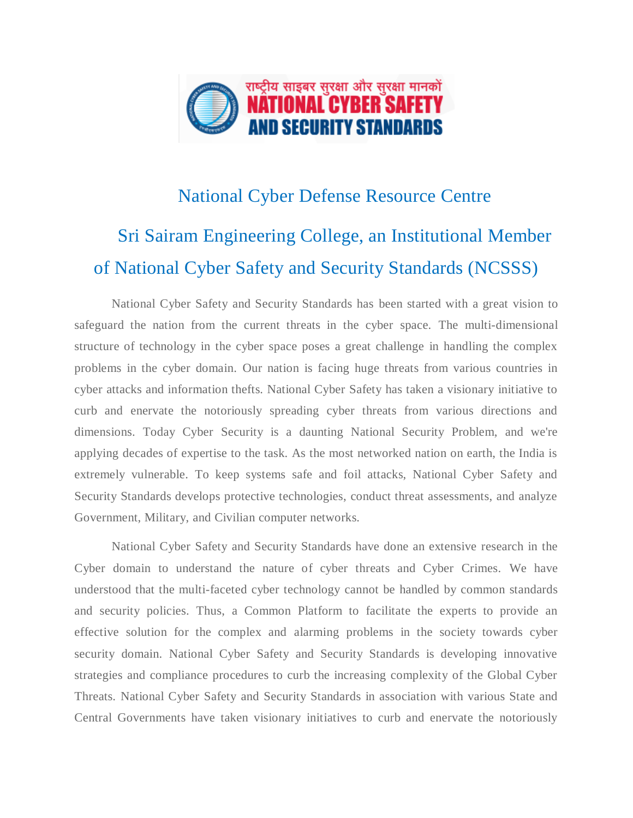

## National Cyber Defense Resource Centre Sri Sairam Engineering College, an Institutional Member of National Cyber Safety and Security Standards (NCSSS)

National Cyber Safety and Security Standards has been started with a great vision to safeguard the nation from the current threats in the cyber space. The multi-dimensional structure of technology in the cyber space poses a great challenge in handling the complex problems in the cyber domain. Our nation is facing huge threats from various countries in cyber attacks and information thefts. National Cyber Safety has taken a visionary initiative to curb and enervate the notoriously spreading cyber threats from various directions and dimensions. Today Cyber Security is a daunting National Security Problem, and we're applying decades of expertise to the task. As the most networked nation on earth, the India is extremely vulnerable. To keep systems safe and foil attacks, National Cyber Safety and Security Standards develops protective technologies, conduct threat assessments, and analyze Government, Military, and Civilian computer networks.

National Cyber Safety and Security Standards have done an extensive research in the Cyber domain to understand the nature of cyber threats and Cyber Crimes. We have understood that the multi-faceted cyber technology cannot be handled by common standards and security policies. Thus, a Common Platform to facilitate the experts to provide an effective solution for the complex and alarming problems in the society towards cyber security domain. National Cyber Safety and Security Standards is developing innovative strategies and compliance procedures to curb the increasing complexity of the Global Cyber Threats. National Cyber Safety and Security Standards in association with various State and Central Governments have taken visionary initiatives to curb and enervate the notoriously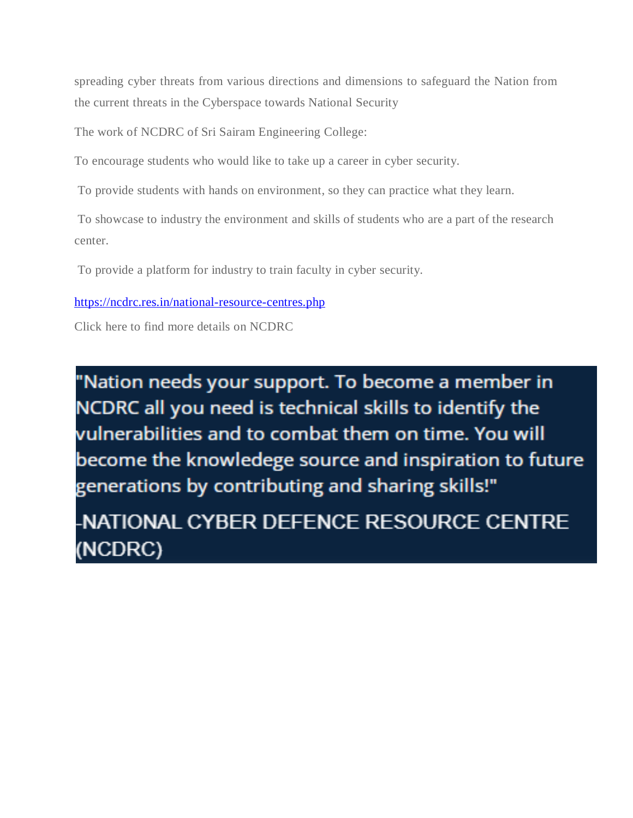spreading cyber threats from various directions and dimensions to safeguard the Nation from the current threats in the Cyberspace towards National Security

The work of NCDRC of Sri Sairam Engineering College:

To encourage students who would like to take up a career in cyber security.

To provide students with hands on environment, so they can practice what they learn.

To showcase to industry the environment and skills of students who are a part of the research center.

To provide a platform for industry to train faculty in cyber security.

<https://ncdrc.res.in/national-resource-centres.php>

Click here to find more details on NCDRC

"Nation needs your support. To become a member in NCDRC all you need is technical skills to identify the vulnerabilities and to combat them on time. You will become the knowledege source and inspiration to future generations by contributing and sharing skills!"

NATIONAL CYBER DEFENCE RESOURCE CENTRE (NCDRC)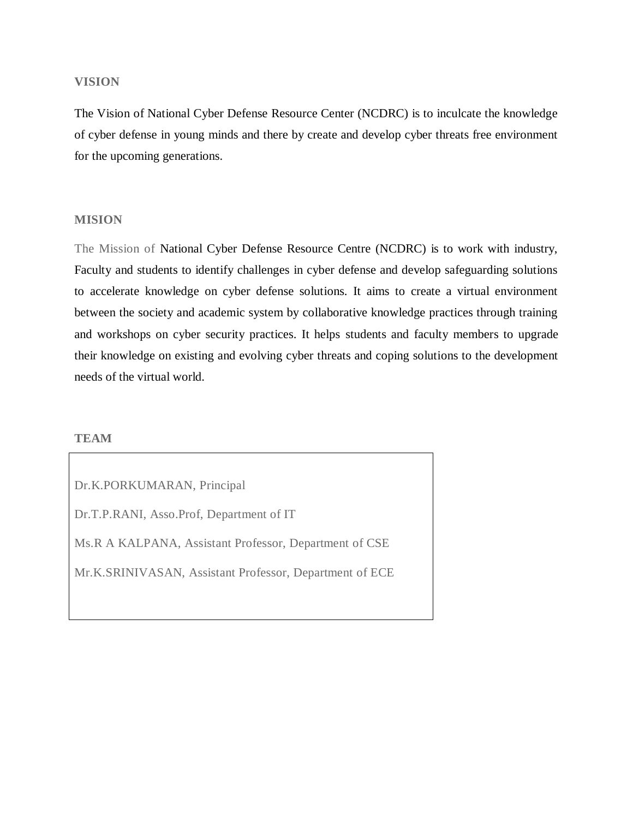#### **VISION**

The Vision of National Cyber Defense Resource Center (NCDRC) is to inculcate the knowledge of cyber defense in young minds and there by create and develop cyber threats free environment for the upcoming generations.

#### **MISION**

The Mission of National Cyber Defense Resource Centre (NCDRC) is to work with industry, Faculty and students to identify challenges in cyber defense and develop safeguarding solutions to accelerate knowledge on cyber defense solutions. It aims to create a virtual environment between the society and academic system by collaborative knowledge practices through training and workshops on cyber security practices. It helps students and faculty members to upgrade their knowledge on existing and evolving cyber threats and coping solutions to the development needs of the virtual world.

#### **TEAM**

Dr.K.PORKUMARAN, Principal Dr.T.P.RANI, Asso.Prof, Department of IT Ms.R A KALPANA, Assistant Professor, Department of CSE Mr.K.SRINIVASAN, Assistant Professor, Department of ECE